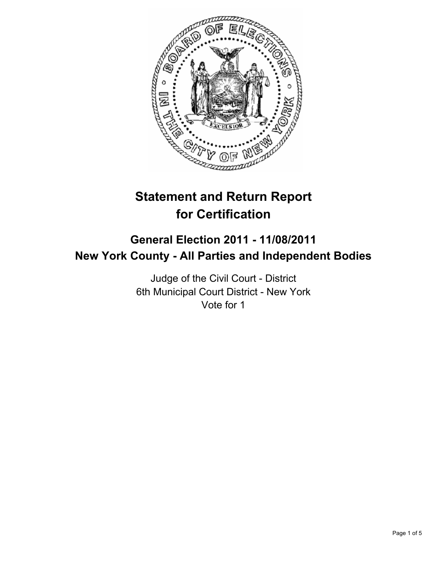

# **Statement and Return Report for Certification**

## **General Election 2011 - 11/08/2011 New York County - All Parties and Independent Bodies**

Judge of the Civil Court - District 6th Municipal Court District - New York Vote for 1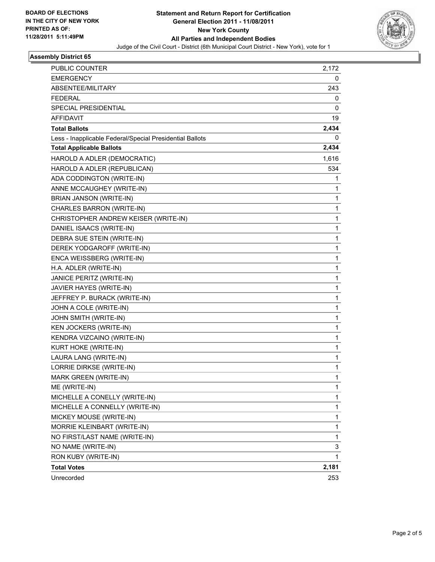

#### **Assembly District 65**

| <b>PUBLIC COUNTER</b>                                    | 2,172 |
|----------------------------------------------------------|-------|
| <b>EMERGENCY</b>                                         | 0     |
| ABSENTEE/MILITARY<br><b>FEDERAL</b>                      | 243   |
|                                                          | 0     |
| SPECIAL PRESIDENTIAL                                     | 0     |
| AFFIDAVIT                                                | 19    |
| <b>Total Ballots</b>                                     | 2,434 |
| Less - Inapplicable Federal/Special Presidential Ballots | 0     |
| <b>Total Applicable Ballots</b>                          | 2,434 |
| HAROLD A ADLER (DEMOCRATIC)                              | 1,616 |
| HAROLD A ADLER (REPUBLICAN)                              | 534   |
| ADA CODDINGTON (WRITE-IN)                                | 1     |
| ANNE MCCAUGHEY (WRITE-IN)                                | 1     |
| BRIAN JANSON (WRITE-IN)                                  | 1     |
| CHARLES BARRON (WRITE-IN)                                | 1     |
| CHRISTOPHER ANDREW KEISER (WRITE-IN)                     | 1     |
| DANIEL ISAACS (WRITE-IN)                                 | 1     |
| DEBRA SUE STEIN (WRITE-IN)                               | 1     |
| DEREK YODGAROFF (WRITE-IN)                               | 1     |
| ENCA WEISSBERG (WRITE-IN)                                | 1     |
| H.A. ADLER (WRITE-IN)                                    | 1     |
| JANICE PERITZ (WRITE-IN)                                 | 1     |
| JAVIER HAYES (WRITE-IN)                                  | 1     |
| JEFFREY P. BURACK (WRITE-IN)                             | 1     |
| JOHN A COLE (WRITE-IN)                                   | 1     |
| JOHN SMITH (WRITE-IN)                                    | 1     |
| KEN JOCKERS (WRITE-IN)                                   | 1     |
| KENDRA VIZCAINO (WRITE-IN)                               | 1     |
| KURT HOKE (WRITE-IN)                                     | 1     |
| LAURA LANG (WRITE-IN)                                    | 1     |
| LORRIE DIRKSE (WRITE-IN)                                 | 1     |
| MARK GREEN (WRITE-IN)                                    | 1     |
| ME (WRITE-IN)                                            | 1     |
| MICHELLE A CONELLY (WRITE-IN)                            | 1     |
| MICHELLE A CONNELLY (WRITE-IN)                           | 1     |
| MICKEY MOUSE (WRITE-IN)                                  | 1     |
| MORRIE KLEINBART (WRITE-IN)                              | 1     |
| NO FIRST/LAST NAME (WRITE-IN)                            | 1     |
| NO NAME (WRITE-IN)                                       | 3     |
| RON KUBY (WRITE-IN)                                      | 1     |
| <b>Total Votes</b>                                       | 2,181 |
| Unrecorded                                               | 253   |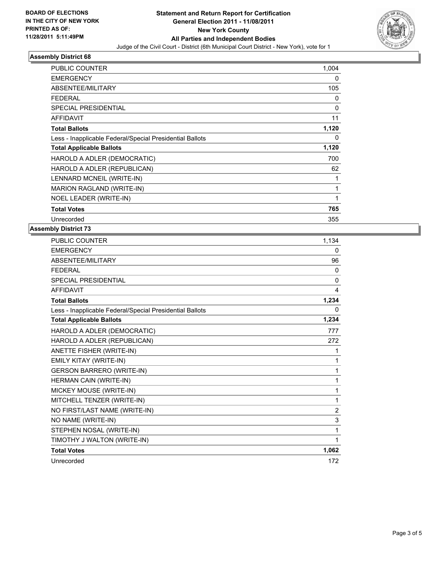

### **Assembly District 68**

| <b>PUBLIC COUNTER</b>                                    | 1,004 |
|----------------------------------------------------------|-------|
| <b>EMERGENCY</b>                                         | 0     |
| ABSENTEE/MILITARY                                        | 105   |
| FEDERAL                                                  | 0     |
| SPECIAL PRESIDENTIAL                                     | 0     |
| <b>AFFIDAVIT</b>                                         | 11    |
| <b>Total Ballots</b>                                     | 1,120 |
| Less - Inapplicable Federal/Special Presidential Ballots | 0     |
| <b>Total Applicable Ballots</b>                          | 1,120 |
| HAROLD A ADLER (DEMOCRATIC)                              | 700   |
| HAROLD A ADLER (REPUBLICAN)                              | 62    |
| LENNARD MCNEIL (WRITE-IN)                                | 1     |
| MARION RAGLAND (WRITE-IN)                                | 1     |
| NOEL LEADER (WRITE-IN)                                   | 1     |
| <b>Total Votes</b>                                       | 765   |
| Unrecorded                                               | 355   |

#### **Assembly District 73**

| <b>PUBLIC COUNTER</b>                                    | 1,134 |
|----------------------------------------------------------|-------|
| <b>EMERGENCY</b>                                         | 0     |
| ABSENTEE/MILITARY                                        | 96    |
| <b>FEDERAL</b>                                           | 0     |
| <b>SPECIAL PRESIDENTIAL</b>                              | 0     |
| <b>AFFIDAVIT</b>                                         | 4     |
| <b>Total Ballots</b>                                     | 1,234 |
| Less - Inapplicable Federal/Special Presidential Ballots | 0     |
| <b>Total Applicable Ballots</b>                          | 1,234 |
| HAROLD A ADLER (DEMOCRATIC)                              | 777   |
| HAROLD A ADLER (REPUBLICAN)                              | 272   |
| ANETTE FISHER (WRITE-IN)                                 | 1     |
| EMILY KITAY (WRITE-IN)                                   | 1     |
| <b>GERSON BARRERO (WRITE-IN)</b>                         | 1     |
| HERMAN CAIN (WRITE-IN)                                   | 1     |
| MICKEY MOUSE (WRITE-IN)                                  | 1     |
| MITCHELL TENZER (WRITE-IN)                               | 1     |
| NO FIRST/LAST NAME (WRITE-IN)                            | 2     |
| NO NAME (WRITE-IN)                                       | 3     |
| STEPHEN NOSAL (WRITE-IN)                                 | 1     |
| TIMOTHY J WALTON (WRITE-IN)                              | 1     |
| <b>Total Votes</b>                                       | 1,062 |
| Unrecorded                                               | 172   |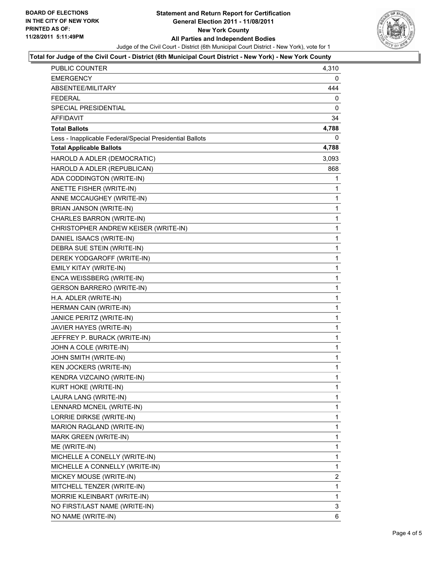

#### **Total for Judge of the Civil Court - District (6th Municipal Court District - New York) - New York County**

| <b>PUBLIC COUNTER</b>                                    | 4,310        |
|----------------------------------------------------------|--------------|
| <b>EMERGENCY</b>                                         | 0            |
| ABSENTEE/MILITARY                                        | 444          |
| <b>FEDERAL</b>                                           | 0            |
| SPECIAL PRESIDENTIAL                                     | 0            |
| AFFIDAVIT                                                | 34           |
| <b>Total Ballots</b>                                     | 4,788        |
| Less - Inapplicable Federal/Special Presidential Ballots | 0            |
| <b>Total Applicable Ballots</b>                          | 4,788        |
| HAROLD A ADLER (DEMOCRATIC)                              | 3,093        |
| HAROLD A ADLER (REPUBLICAN)                              | 868          |
| ADA CODDINGTON (WRITE-IN)                                | 1            |
| ANETTE FISHER (WRITE-IN)                                 | 1            |
| ANNE MCCAUGHEY (WRITE-IN)                                | 1            |
| BRIAN JANSON (WRITE-IN)                                  | 1            |
| CHARLES BARRON (WRITE-IN)                                | 1            |
| CHRISTOPHER ANDREW KEISER (WRITE-IN)                     | 1            |
| DANIEL ISAACS (WRITE-IN)                                 | 1            |
| DEBRA SUE STEIN (WRITE-IN)                               | 1            |
| DEREK YODGAROFF (WRITE-IN)                               | 1            |
| EMILY KITAY (WRITE-IN)                                   | 1            |
| ENCA WEISSBERG (WRITE-IN)                                | 1            |
| <b>GERSON BARRERO (WRITE-IN)</b>                         | 1            |
| H.A. ADLER (WRITE-IN)                                    | 1            |
| HERMAN CAIN (WRITE-IN)                                   | 1            |
| JANICE PERITZ (WRITE-IN)                                 | 1            |
| JAVIER HAYES (WRITE-IN)                                  | 1            |
| JEFFREY P. BURACK (WRITE-IN)                             | 1            |
| JOHN A COLE (WRITE-IN)                                   | 1            |
| JOHN SMITH (WRITE-IN)                                    | 1            |
| KEN JOCKERS (WRITE-IN)                                   | 1            |
| KENDRA VIZCAINO (WRITE-IN)                               | $\mathbf{1}$ |
| KURT HOKE (WRITE-IN)                                     | 1            |
| LAURA LANG (WRITE-IN)                                    | 1            |
| LENNARD MCNEIL (WRITE-IN)                                | 1            |
| LORRIE DIRKSE (WRITE-IN)                                 | 1            |
| MARION RAGLAND (WRITE-IN)                                | 1            |
| MARK GREEN (WRITE-IN)                                    | 1            |
| ME (WRITE-IN)                                            | 1            |
| MICHELLE A CONELLY (WRITE-IN)                            | 1            |
| MICHELLE A CONNELLY (WRITE-IN)                           | 1            |
| MICKEY MOUSE (WRITE-IN)                                  | 2            |
| MITCHELL TENZER (WRITE-IN)                               | 1            |
| MORRIE KLEINBART (WRITE-IN)                              | 1            |
| NO FIRST/LAST NAME (WRITE-IN)                            | 3            |
| NO NAME (WRITE-IN)                                       | 6            |